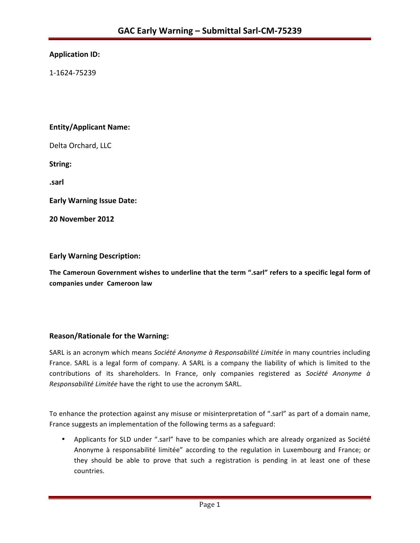# **Application ID:**

1-1624-75239 

# **Entity/Applicant Name:**

Delta Orchard, LLC

**String:** 

**.sarl**

**Early Warning Issue Date:** 

**20 November 2012**

#### **Early Warning Description:**

The Cameroun Government wishes to underline that the term ".sarl" refers to a specific legal form of **companies under Cameroon law**

# **Reason/Rationale for the Warning:**

SARL is an acronym which means Société Anonyme à Responsabilité Limitée in many countries including France. SARL is a legal form of company. A SARL is a company the liability of which is limited to the contributions of its shareholders. In France, only companies registered as Société Anonyme à *Responsabilité Limitée* have the right to use the acronym SARL.

To enhance the protection against any misuse or misinterpretation of ".sarl" as part of a domain name, France suggests an implementation of the following terms as a safeguard:

• Applicants for SLD under ".sarl" have to be companies which are already organized as Société Anonyme à responsabilité limitée" according to the regulation in Luxembourg and France; or they should be able to prove that such a registration is pending in at least one of these countries.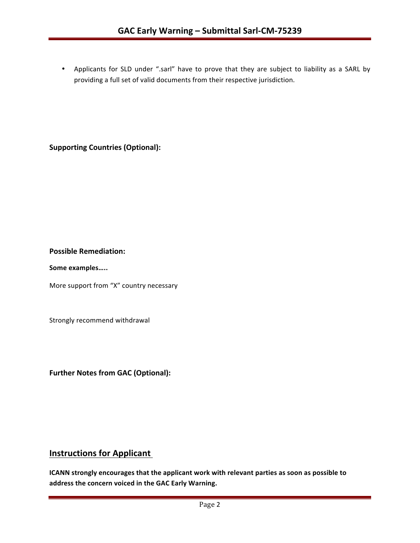• Applicants for SLD under ".sarl" have to prove that they are subject to liability as a SARL by providing a full set of valid documents from their respective jurisdiction.

**Supporting Countries (Optional):** 

#### **Possible Remediation:**

Some examples.....

More support from "X" country necessary

Strongly recommend withdrawal

**Further Notes from GAC (Optional):** 

# **Instructions for Applicant**

**ICANN** strongly encourages that the applicant work with relevant parties as soon as possible to address the concern voiced in the GAC Early Warning.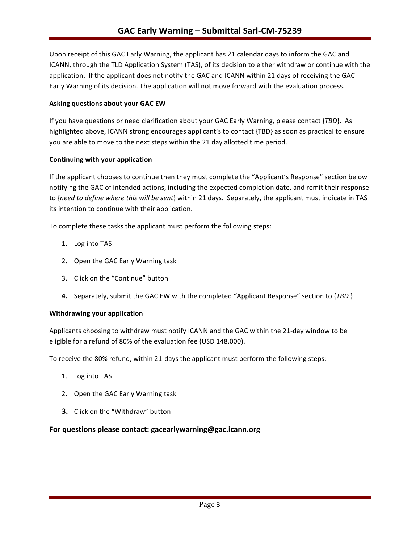Upon receipt of this GAC Early Warning, the applicant has 21 calendar days to inform the GAC and ICANN, through the TLD Application System (TAS), of its decision to either withdraw or continue with the application. If the applicant does not notify the GAC and ICANN within 21 days of receiving the GAC Early Warning of its decision. The application will not move forward with the evaluation process.

#### **Asking questions about your GAC EW**

If you have questions or need clarification about your GAC Early Warning, please contact {*TBD*}. As highlighted above, ICANN strong encourages applicant's to contact {TBD} as soon as practical to ensure you are able to move to the next steps within the 21 day allotted time period.

#### **Continuing with your application**

If the applicant chooses to continue then they must complete the "Applicant's Response" section below notifying the GAC of intended actions, including the expected completion date, and remit their response to {need to define where this will be sent} within 21 days. Separately, the applicant must indicate in TAS its intention to continue with their application.

To complete these tasks the applicant must perform the following steps:

- 1. Log into TAS
- 2. Open the GAC Early Warning task
- 3. Click on the "Continue" button
- **4.** Separately, submit the GAC EW with the completed "Applicant Response" section to {*TBD* }

# **Withdrawing your application**

Applicants choosing to withdraw must notify ICANN and the GAC within the 21-day window to be eligible for a refund of 80% of the evaluation fee (USD 148,000).

To receive the 80% refund, within 21-days the applicant must perform the following steps:

- 1. Log into TAS
- 2. Open the GAC Early Warning task
- **3.** Click on the "Withdraw" button

# For questions please contact: gacearlywarning@gac.icann.org